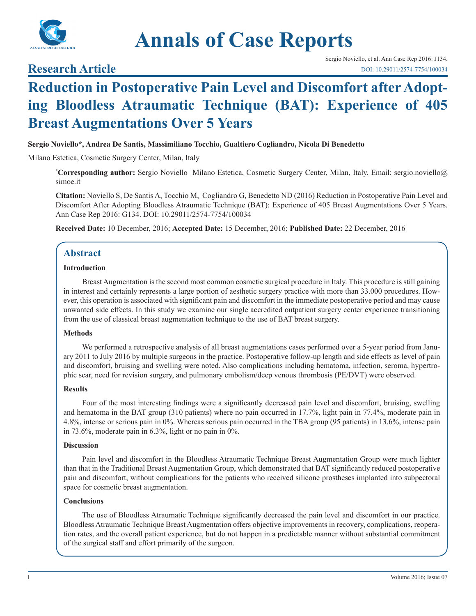

# **Annals of Case Reports**

## **Research Article**

## **Reduction in Postoperative Pain Level and Discomfort after Adopting Bloodless Atraumatic Technique (BAT): Experience of 405 Breast Augmentations Over 5 Years**

#### **Sergio Noviello\*, Andrea De Santis, Massimiliano Tocchio, Gualtiero Cogliandro, Nicola Di Benedetto**

Milano Estetica, Cosmetic Surgery Center, Milan, Italy

**\* Corresponding author:** Sergio Noviello Milano Estetica, Cosmetic Surgery Center, Milan, Italy. Email: sergio.noviello@ simoe.it

**Citation:** Noviello S, De Santis A, Tocchio M, Cogliandro G, Benedetto ND (2016) Reduction in Postoperative Pain Level and Discomfort After Adopting Bloodless Atraumatic Technique (BAT): Experience of 405 Breast Augmentations Over 5 Years. Ann Case Rep 2016: G134. DOI: 10.29011/2574-7754/100034

**Received Date:** 10 December, 2016; **Accepted Date:** 15 December, 2016; **Published Date:** 22 December, 2016

## **Abstract**

#### **Introduction**

Breast Augmentation is the second most common cosmetic surgical procedure in Italy. This procedure is still gaining in interest and certainly represents a large portion of aesthetic surgery practice with more than 33.000 procedures. However, this operation is associated with significant pain and discomfort in the immediate postoperative period and may cause unwanted side effects. In this study we examine our single accredited outpatient surgery center experience transitioning from the use of classical breast augmentation technique to the use of BAT breast surgery.

#### **Methods**

We performed a retrospective analysis of all breast augmentations cases performed over a 5-year period from January 2011 to July 2016 by multiple surgeons in the practice. Postoperative follow-up length and side effects as level of pain and discomfort, bruising and swelling were noted. Also complications including hematoma, infection, seroma, hypertrophic scar, need for revision surgery, and pulmonary embolism/deep venous thrombosis (PE/DVT) were observed.

#### **Results**

Four of the most interesting findings were a significantly decreased pain level and discomfort, bruising, swelling and hematoma in the BAT group (310 patients) where no pain occurred in 17.7%, light pain in 77.4%, moderate pain in 4.8%, intense or serious pain in 0%. Whereas serious pain occurred in the TBA group (95 patients) in 13.6%, intense pain in 73.6%, moderate pain in 6.3%, light or no pain in 0%.

#### **Discussion**

Pain level and discomfort in the Bloodless Atraumatic Technique Breast Augmentation Group were much lighter than that in the Traditional Breast Augmentation Group, which demonstrated that BAT significantly reduced postoperative pain and discomfort, without complications for the patients who received silicone prostheses implanted into subpectoral space for cosmetic breast augmentation.

#### **Conclusions**

The use of Bloodless Atraumatic Technique significantly decreased the pain level and discomfort in our practice. Bloodless Atraumatic Technique Breast Augmentation offers objective improvements in recovery, complications, reoperation rates, and the overall patient experience, but do not happen in a predictable manner without substantial commitment of the surgical staff and effort primarily of the surgeon.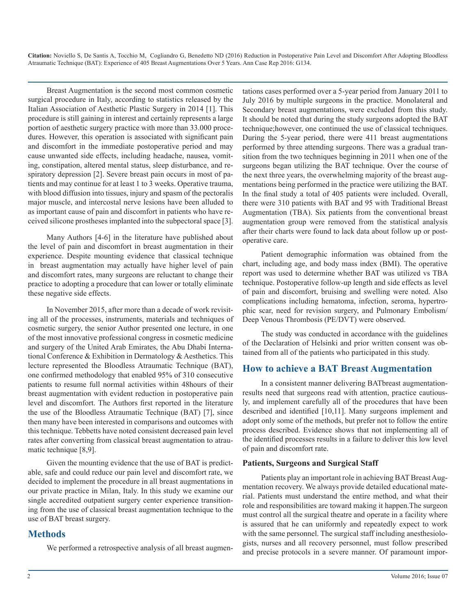Breast Augmentation is the second most common cosmetic surgical procedure in Italy, according to statistics released by the Italian Association of Aesthetic Plastic Surgery in 2014 [1]. This procedure is still gaining in interest and certainly represents a large portion of aesthetic surgery practice with more than 33.000 procedures. However, this operation is associated with significant pain and discomfort in the immediate postoperative period and may cause unwanted side effects, including headache, nausea, vomiting, constipation, altered mental status, sleep disturbance, and respiratory depression [2]. Severe breast pain occurs in most of patients and may continue for at least 1 to 3 weeks. Operative trauma, with blood diffusion into tissues, injury and spasm of the pectoralis major muscle, and intercostal nerve lesions have been alluded to as important cause of pain and discomfort in patients who have received silicone prostheses implanted into the subpectoral space [3].

Many Authors [4-6] in the literature have published about the level of pain and discomfort in breast augmentation in their experience. Despite mounting evidence that classical technique in breast augmentation may actually have higher level of pain and discomfort rates, many surgeons are reluctant to change their practice to adopting a procedure that can lower or totally eliminate these negative side effects.

In November 2015, after more than a decade of work revisiting all of the processes, instruments, materials and techniques of cosmetic surgery, the senior Author presented one lecture, in one of the most innovative professional congress in cosmetic medicine and surgery of the United Arab Emirates, the Abu Dhabi International Conference & Exhibition in Dermatology & Aesthetics. This lecture represented the Bloodless Atraumatic Technique (BAT), one confirmed methodology that enabled 95% of 310 consecutive patients to resume full normal activities within 48hours of their breast augmentation with evident reduction in postoperative pain level and discomfort. The Authors first reported in the literature the use of the Bloodless Atraumatic Technique (BAT) [7], since then many have been interested in comparisons and outcomes with this technique. Tebbetts have noted consistent decreased pain level rates after converting from classical breast augmentation to atraumatic technique [8,9].

Given the mounting evidence that the use of BAT is predictable, safe and could reduce our pain level and discomfort rate, we decided to implement the procedure in all breast augmentations in our private practice in Milan, Italy. In this study we examine our single accredited outpatient surgery center experience transitioning from the use of classical breast augmentation technique to the use of BAT breast surgery.

## **Methods**

We performed a retrospective analysis of all breast augmen-

tations cases performed over a 5-year period from January 2011 to July 2016 by multiple surgeons in the practice. Monolateral and Secondary breast augmentations, were excluded from this study. It should be noted that during the study surgeons adopted the BAT technique;however, one continued the use of classical techniques. During the 5-year period, there were 411 breast augmentations performed by three attending surgeons. There was a gradual transition from the two techniques beginning in 2011 when one of the surgeons began utilizing the BAT technique. Over the course of the next three years, the overwhelming majority of the breast augmentations being performed in the practice were utilizing the BAT. In the final study a total of 405 patients were included. Overall, there were 310 patients with BAT and 95 with Traditional Breast Augmentation (TBA). Six patients from the conventional breast augmentation group were removed from the statistical analysis after their charts were found to lack data about follow up or postoperative care.

Patient demographic information was obtained from the chart, including age, and body mass index (BMI). The operative report was used to determine whether BAT was utilized vs TBA technique. Postoperative follow-up length and side effects as level of pain and discomfort, bruising and swelling were noted. Also complications including hematoma, infection, seroma, hypertrophic scar, need for revision surgery, and Pulmonary Embolism/ Deep Venous Thrombosis (PE/DVT) were observed.

The study was conducted in accordance with the guidelines of the Declaration of Helsinki and prior written consent was obtained from all of the patients who participated in this study.

## **How to achieve a BAT Breast Augmentation**

In a consistent manner delivering BATbreast augmentationresults need that surgeons read with attention, practice cautiously, and implement carefully all of the procedures that have been described and identified [10,11]. Many surgeons implement and adopt only some of the methods, but prefer not to follow the entire process described. Evidence shows that not implementing all of the identified processes results in a failure to deliver this low level of pain and discomfort rate.

#### **Patients, Surgeons and Surgical Staff**

Patients play an important role in achieving BAT Breast Augmentation recovery. We always provide detailed educational material. Patients must understand the entire method, and what their role and responsibilities are toward making it happen.The surgeon must control all the surgical theatre and operate in a facility where is assured that he can uniformly and repeatedly expect to work with the same personnel. The surgical staff including anesthesiologists, nurses and all recovery personnel, must follow prescribed and precise protocols in a severe manner. Of paramount impor-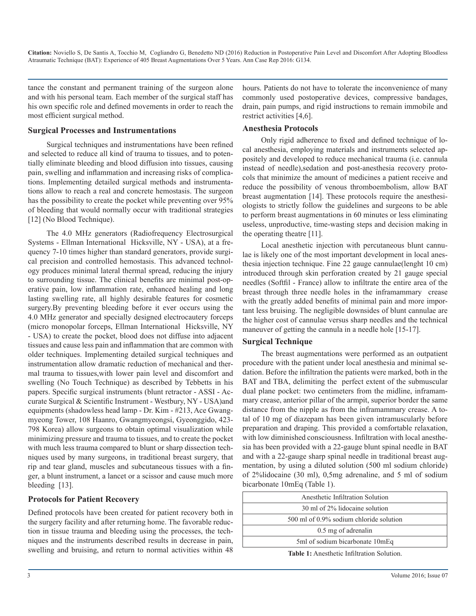tance the constant and permanent training of the surgeon alone and with his personal team. Each member of the surgical staff has his own specific role and defined movements in order to reach the most efficient surgical method.

#### **Surgical Processes and Instrumentations**

Surgical techniques and instrumentations have been refined and selected to reduce all kind of trauma to tissues, and to potentially eliminate bleeding and blood diffusion into tissues, causing pain, swelling and inflammation and increasing risks of complications. Implementing detailed surgical methods and instrumentations allow to reach a real and concrete hemostasis. The surgeon has the possibility to create the pocket while preventing over 95% of bleeding that would normally occur with traditional strategies [12] (No Blood Technique).

The 4.0 MHz generators (Radiofrequency Electrosurgical Systems - Ellman International Hicksville, NY - USA), at a frequency 7-10 times higher than standard generators, provide surgical precision and controlled hemostasis. This advanced technology produces minimal lateral thermal spread, reducing the injury to surrounding tissue. The clinical benefits are minimal post-operative pain, low inflammation rate, enhanced healing and long lasting swelling rate, all highly desirable features for cosmetic surgery.By preventing bleeding before it ever occurs using the 4.0 MHz generator and specially designed electrocautery forceps (micro monopolar forceps, Ellman International Hicksville, NY - USA) to create the pocket, blood does not diffuse into adjacent tissues and cause less pain and inflammation that are common with older techniques. Implementing detailed surgical techniques and instrumentation allow dramatic reduction of mechanical and thermal trauma to tissues,with lower pain level and discomfort and swelling (No Touch Technique) as described by Tebbetts in his papers. Specific surgical instruments (blunt retractor - ASSI - Accurate Surgical & Scientific Instrument - Westbury, NY - USA)and equipments (shadowless head lamp - Dr. Kim - #213, Ace Gwangmyeong Tower, 108 Haanro, Gwangmyeongsi, Gyeonggido, 423- 798 Korea) allow surgeons to obtain optimal visualization while minimizing pressure and trauma to tissues, and to create the pocket with much less trauma compared to blunt or sharp dissection techniques used by many surgeons, in traditional breast surgery, that rip and tear gland, muscles and subcutaneous tissues with a finger, a blunt instrument, a lancet or a scissor and cause much more bleeding [13].

#### **Protocols for Patient Recovery**

Defined protocols have been created for patient recovery both in the surgery facility and after returning home. The favorable reduction in tissue trauma and bleeding using the processes, the techniques and the instruments described results in decrease in pain, swelling and bruising, and return to normal activities within 48

hours. Patients do not have to tolerate the inconvenience of many commonly used postoperative devices, compressive bandages, drain, pain pumps, and rigid instructions to remain immobile and restrict activities [4,6].

#### **Anesthesia Protocols**

Only rigid adherence to fixed and defined technique of local anesthesia, employing materials and instruments selected appositely and developed to reduce mechanical trauma (i.e. cannula instead of needle),sedation and post-anesthesia recovery protocols that minimize the amount of medicines a patient receive and reduce the possibility of venous thromboembolism, allow BAT breast augmentation [14]. These protocols require the anesthesiologists to strictly follow the guidelines and surgeons to be able to perform breast augmentations in 60 minutes or less eliminating useless, unproductive, time-wasting steps and decision making in the operating theatre [11].

Local anesthetic injection with percutaneous blunt cannulae is likely one of the most important development in local anesthesia injection technique. Fine 22 gauge cannulae(lenght 10 cm) introduced through skin perforation created by 21 gauge special needles (Softfil - France) allow to infiltrate the entire area of the breast through three needle holes in the inframammary crease with the greatly added benefits of minimal pain and more important less bruising. The negligible downsides of blunt cannulae are the higher cost of cannulae versus sharp needles and the technical maneuver of getting the cannula in a needle hole [15-17].

#### **Surgical Technique**

The breast augmentations were performed as an outpatient procedure with the patient under local anesthesia and minimal sedation. Before the infiltration the patients were marked, both in the BAT and TBA, delimiting the perfect extent of the submuscular dual plane pocket: two centimeters from the midline, inframammary crease, anterior pillar of the armpit, superior border the same distance from the nipple as from the inframammary crease. A total of 10 mg of diazepam has been given intramuscularly before preparation and draping. This provided a comfortable relaxation, with low diminished consciousness. Infiltration with local anesthesia has been provided with a 22-gauge blunt spinal needle in BAT and with a 22-gauge sharp spinal needle in traditional breast augmentation, by using a diluted solution (500 ml sodium chloride) of 2%lidocaine (30 ml), 0,5mg adrenaline, and 5 ml of sodium bicarbonate 10mEq (Table 1).

| Anesthetic Infiltration Solution        |  |  |
|-----------------------------------------|--|--|
| 30 ml of 2% lidocaine solution          |  |  |
| 500 ml of 0.9% sodium chloride solution |  |  |
| 0.5 mg of adrenalin                     |  |  |
| 5ml of sodium bicarbonate 10mEq         |  |  |

**Table 1:** Anesthetic Infiltration Solution.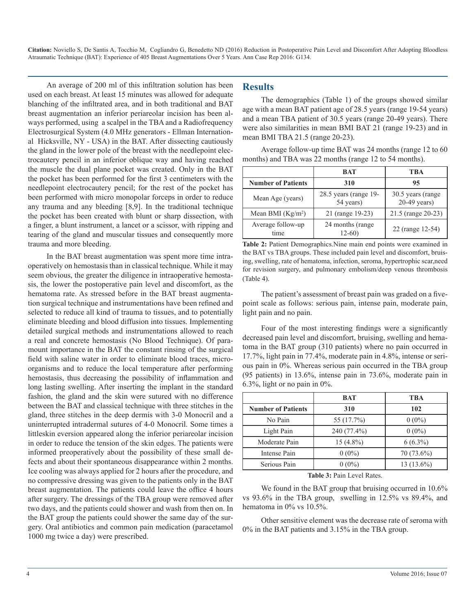An average of 200 ml of this infiltration solution has been used on each breast. At least 15 minutes was allowed for adequate blanching of the infiltrated area, and in both traditional and BAT breast augmentation an inferior periareolar incision has been always performed, using a scalpel in the TBA and a Radiofrequency Electrosurgical System (4.0 MHz generators - Ellman International Hicksville, NY - USA) in the BAT. After dissecting cautiously the gland in the lower pole of the breast with the needlepoint electrocautery pencil in an inferior oblique way and having reached the muscle the dual plane pocket was created. Only in the BAT the pocket has been performed for the first 3 centimeters with the needlepoint electrocautery pencil; for the rest of the pocket has been performed with micro monopolar forceps in order to reduce any trauma and any bleeding [8,9]. In the traditional technique the pocket has been created with blunt or sharp dissection, with a finger, a blunt instrument, a lancet or a scissor, with ripping and tearing of the gland and muscular tissues and consequently more trauma and more bleeding.

In the BAT breast augmentation was spent more time intraoperatively on hemostasis than in classical technique. While it may seem obvious, the greater the diligence in intraoperative hemostasis, the lower the postoperative pain level and discomfort, as the hematoma rate. As stressed before in the BAT breast augmentation surgical technique and instrumentations have been refined and selected to reduce all kind of trauma to tissues, and to potentially eliminate bleeding and blood diffusion into tissues. Implementing detailed surgical methods and instrumentations allowed to reach a real and concrete hemostasis (No Blood Technique). Of paramount importance in the BAT the constant rinsing of the surgical field with saline water in order to eliminate blood traces, microorganisms and to reduce the local temperature after performing hemostasis, thus decreasing the possibility of inflammation and long lasting swelling. After inserting the implant in the standard fashion, the gland and the skin were sutured with no difference between the BAT and classical technique with three stitches in the gland, three stitches in the deep dermis with 3-0 Monocril and a uninterrupted intradermal sutures of 4-0 Monocril. Some times a littleskin eversion appeared along the inferior periareolar incision in order to reduce the tension of the skin edges. The patients were informed preoperatively about the possibility of these small defects and about their spontaneous disappearance within 2 months. Ice cooling was always applied for 2 hours after the procedure, and no compressive dressing was given to the patients only in the BAT breast augmentation. The patients could leave the office 4 hours after surgery. The dressings of the TBA group were removed after two days, and the patients could shower and wash from then on. In the BAT group the patients could shower the same day of the surgery. Oral antibiotics and common pain medication (paracetamol 1000 mg twice a day) were prescribed.

#### **Results**

The demographics (Table 1) of the groups showed similar age with a mean BAT patient age of 28.5 years (range 19-54 years) and a mean TBA patient of 30.5 years (range 20-49 years). There were also similarities in mean BMI BAT 21 (range 19-23) and in mean BMI TBA 21.5 (range 20-23).

Average follow-up time BAT was 24 months (range 12 to 60 months) and TBA was 22 months (range 12 to 54 months).

|                           | <b>BAT</b>                         | TBA                                 |
|---------------------------|------------------------------------|-------------------------------------|
| <b>Number of Patients</b> | 310                                | 95                                  |
| Mean Age (years)          | 28.5 years (range 19-<br>54 years) | 30.5 years (range<br>$20-49$ years) |
| Mean BMI $(Kg/m2)$        | 21 (range 19-23)                   | 21.5 (range 20-23)                  |
| Average follow-up<br>time | 24 months (range)<br>$12-60$       | 22 (range 12-54)                    |

**Table 2:** Patient Demographics.Nine main end points were examined in the BAT vs TBA groups. These included pain level and discomfort, bruising, swelling, rate of hematoma, infection, seroma, hypertrophic scar,need for revision surgery, and pulmonary embolism/deep venous thrombosis (Table 4).

The patient's assessment of breast pain was graded on a fivepoint scale as follows: serious pain, intense pain, moderate pain, light pain and no pain.

Four of the most interesting findings were a significantly decreased pain level and discomfort, bruising, swelling and hematoma in the BAT group (310 patients) where no pain occurred in 17.7%, light pain in 77.4%, moderate pain in 4.8%, intense or serious pain in 0%. Whereas serious pain occurred in the TBA group (95 patients) in 13.6%, intense pain in 73.6%, moderate pain in 6.3%, light or no pain in 0%.

|                           | BAT         | <b>TBA</b> |
|---------------------------|-------------|------------|
| <b>Number of Patients</b> | 310         | 102        |
| No Pain                   | 55 (17.7%)  | $0(0\%)$   |
| Light Pain                | 240 (77.4%) | $0(0\%)$   |
| Moderate Pain             | $15(4.8\%)$ | $6(6.3\%)$ |
| Intense Pain              | $0(0\%)$    | 70 (73.6%) |
| Serious Pain              | $0(0\%)$    | 13 (13.6%) |

**Table 3:** Pain Level Rates.

We found in the BAT group that bruising occurred in  $10.6\%$ vs 93.6% in the TBA group, swelling in 12.5% vs 89.4%, and hematoma in 0% vs 10.5%.

Other sensitive element was the decrease rate of seroma with 0% in the BAT patients and 3.15% in the TBA group.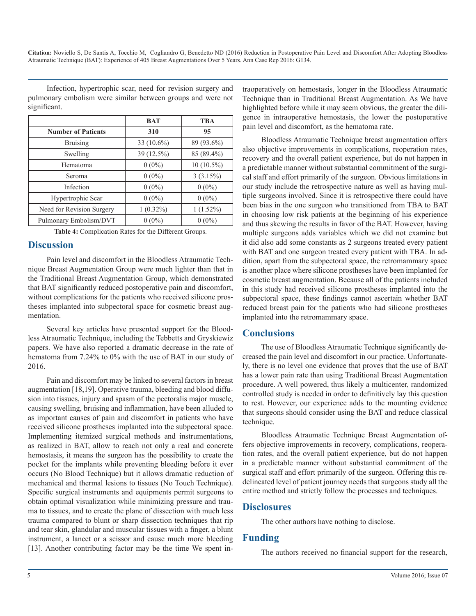Infection, hypertrophic scar, need for revision surgery and pulmonary embolism were similar between groups and were not significant.

|                           | <b>BAT</b>    | <b>TBA</b>   |
|---------------------------|---------------|--------------|
| <b>Number of Patients</b> | 310           | 95           |
| <b>Bruising</b>           | 33 $(10.6\%)$ | 89 (93.6%)   |
| Swelling                  | 39 (12.5%)    | 85 (89.4%)   |
| Hematoma                  | $0(0\%)$      | $10(10.5\%)$ |
| Seroma                    | $0(0\%)$      | 3(3.15%)     |
| Infection                 | $0(0\%)$      | $0(0\%)$     |
| Hypertrophic Scar         | $0(0\%)$      | $0(0\%)$     |
| Need for Revision Surgery | $1(0.32\%)$   | $1(1.52\%)$  |
| Pulmonary Embolism/DVT    | $0(0\%)$      | $0(0\%)$     |

**Table 4:** Complication Rates for the Different Groups.

### **Discussion**

Pain level and discomfort in the Bloodless Atraumatic Technique Breast Augmentation Group were much lighter than that in the Traditional Breast Augmentation Group, which demonstrated that BAT significantly reduced postoperative pain and discomfort, without complications for the patients who received silicone prostheses implanted into subpectoral space for cosmetic breast augmentation.

Several key articles have presented support for the Bloodless Atraumatic Technique, including the Tebbetts and Gryskiewiz papers. We have also reported a dramatic decrease in the rate of hematoma from 7.24% to 0% with the use of BAT in our study of 2016.

Pain and discomfort may be linked to several factors in breast augmentation [18,19]. Operative trauma, bleeding and blood diffusion into tissues, injury and spasm of the pectoralis major muscle, causing swelling, bruising and inflammation, have been alluded to as important causes of pain and discomfort in patients who have received silicone prostheses implanted into the subpectoral space. Implementing itemized surgical methods and instrumentations, as realized in BAT, allow to reach not only a real and concrete hemostasis, it means the surgeon has the possibility to create the pocket for the implants while preventing bleeding before it ever occurs (No Blood Technique) but it allows dramatic reduction of mechanical and thermal lesions to tissues (No Touch Technique). Specific surgical instruments and equipments permit surgeons to obtain optimal visualization while minimizing pressure and trauma to tissues, and to create the plane of dissection with much less trauma compared to blunt or sharp dissection techniques that rip and tear skin, glandular and muscular tissues with a finger, a blunt instrument, a lancet or a scissor and cause much more bleeding [13]. Another contributing factor may be the time We spent in-

traoperatively on hemostasis, longer in the Bloodless Atraumatic Technique than in Traditional Breast Augmentation. As We have highlighted before while it may seem obvious, the greater the diligence in intraoperative hemostasis, the lower the postoperative pain level and discomfort, as the hematoma rate.

Bloodless Atraumatic Technique breast augmentation offers also objective improvements in complications, reoperation rates, recovery and the overall patient experience, but do not happen in a predictable manner without substantial commitment of the surgical staff and effort primarily of the surgeon. Obvious limitations in our study include the retrospective nature as well as having multiple surgeons involved. Since it is retrospective there could have been bias in the one surgeon who transitioned from TBA to BAT in choosing low risk patients at the beginning of his experience and thus skewing the results in favor of the BAT. However, having multiple surgeons adds variables which we did not examine but it did also add some constants as 2 surgeons treated every patient with BAT and one surgeon treated every patient with TBA. In addition, apart from the subpectoral space, the retromammary space is another place where silicone prostheses have been implanted for cosmetic breast augmentation. Because all of the patients included in this study had received silicone prostheses implanted into the subpectoral space, these findings cannot ascertain whether BAT reduced breast pain for the patients who had silicone prostheses implanted into the retromammary space.

## **Conclusions**

The use of Bloodless Atraumatic Technique significantly decreased the pain level and discomfort in our practice. Unfortunately, there is no level one evidence that proves that the use of BAT has a lower pain rate than using Traditional Breast Augmentation procedure. A well powered, thus likely a multicenter, randomized controlled study is needed in order to definitively lay this question to rest. However, our experience adds to the mounting evidence that surgeons should consider using the BAT and reduce classical technique.

Bloodless Atraumatic Technique Breast Augmentation offers objective improvements in recovery, complications, reoperation rates, and the overall patient experience, but do not happen in a predictable manner without substantial commitment of the surgical staff and effort primarily of the surgeon. Offering this redelineated level of patient journey needs that surgeons study all the entire method and strictly follow the processes and techniques.

#### **Disclosures**

The other authors have nothing to disclose.

## **Funding**

The authors received no financial support for the research,